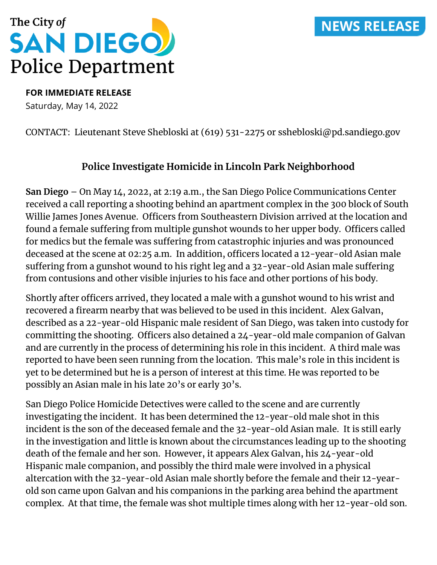## **NEWS RELEASE**



**FOR IMMEDIATE RELEASE**

Saturday, May 14, 2022

#### CONTACT: Lieutenant Steve Shebloski at (619) 531-2275 or sshebloski@pd.sandiego.gov

#### **Police Investigate Homicide in Lincoln Park Neighborhood**

**San Diego** – On May 14, 2022, at 2:19 a.m., the San Diego Police Communications Center received a call reporting a shooting behind an apartment complex in the 300 block of South Willie James Jones Avenue. Officers from Southeastern Division arrived at the location and found a female suffering from multiple gunshot wounds to her upper body. Officers called for medics but the female was suffering from catastrophic injuries and was pronounced deceased at the scene at 02:25 a.m. In addition, officers located a 12-year-old Asian male suffering from a gunshot wound to his right leg and a 32-year-old Asian male suffering from contusions and other visible injuries to his face and other portions of his body.

Shortly after officers arrived, they located a male with a gunshot wound to his wrist and recovered a firearm nearby that was believed to be used in this incident. Alex Galvan, described as a 22-year-old Hispanic male resident of San Diego, was taken into custody for committing the shooting. Officers also detained a 24-year-old male companion of Galvan and are currently in the process of determining his role in this incident. A third male was reported to have been seen running from the location. This male's role in this incident is yet to be determined but he is a person of interest at this time. He was reported to be possibly an Asian male in his late 20's or early 30's.

San Diego Police Homicide Detectives were called to the scene and are currently investigating the incident. It has been determined the 12-year-old male shot in this incident is the son of the deceased female and the 32-year-old Asian male. It is still early in the investigation and little is known about the circumstances leading up to the shooting death of the female and her son. However, it appears Alex Galvan, his 24-year-old Hispanic male companion, and possibly the third male were involved in a physical altercation with the 32-year-old Asian male shortly before the female and their 12-yearold son came upon Galvan and his companions in the parking area behind the apartment complex. At that time, the female was shot multiple times along with her 12-year-old son.